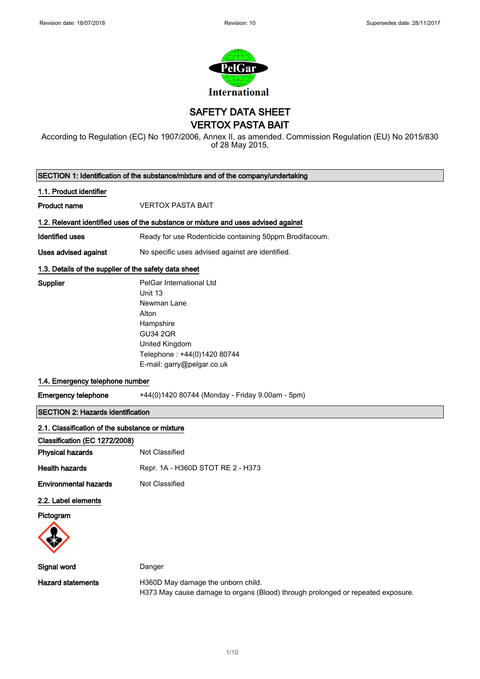

SAFETY DATA SHEET

VERTOX PASTA BAIT

According to Regulation (EC) No 1907/2006, Annex II, as amended. Commission Regulation (EU) No 2015/830 of 28 May 2015.

| SECTION 1: Identification of the substance/mixture and of the company/undertaking |                                                                                                                                                                            |  |  |
|-----------------------------------------------------------------------------------|----------------------------------------------------------------------------------------------------------------------------------------------------------------------------|--|--|
| 1.1. Product identifier                                                           |                                                                                                                                                                            |  |  |
| <b>Product name</b>                                                               | <b>VERTOX PASTA BAIT</b>                                                                                                                                                   |  |  |
|                                                                                   | 1.2. Relevant identified uses of the substance or mixture and uses advised against                                                                                         |  |  |
| <b>Identified uses</b>                                                            | Ready for use Rodenticide containing 50ppm Brodifacoum.                                                                                                                    |  |  |
| <b>Uses advised against</b>                                                       | No specific uses advised against are identified.                                                                                                                           |  |  |
| 1.3. Details of the supplier of the safety data sheet                             |                                                                                                                                                                            |  |  |
| Supplier                                                                          | PelGar International Ltd<br>Unit 13<br>Newman Lane<br>Alton<br>Hampshire<br><b>GU34 2QR</b><br>United Kingdom<br>Telephone: +44(0)1420 80744<br>E-mail: garry@pelgar.co.uk |  |  |
| 1.4. Emergency telephone number                                                   |                                                                                                                                                                            |  |  |
| <b>Emergency telephone</b>                                                        | +44(0)1420 80744 (Monday - Friday 9.00am - 5pm)                                                                                                                            |  |  |
| <b>SECTION 2: Hazards identification</b>                                          |                                                                                                                                                                            |  |  |
| 2.1. Classification of the substance or mixture                                   |                                                                                                                                                                            |  |  |
| Classification (EC 1272/2008)                                                     |                                                                                                                                                                            |  |  |
| <b>Physical hazards</b>                                                           | <b>Not Classified</b>                                                                                                                                                      |  |  |
| <b>Health hazards</b>                                                             | Repr. 1A - H360D STOT RE 2 - H373                                                                                                                                          |  |  |
| <b>Environmental hazards</b>                                                      | Not Classified                                                                                                                                                             |  |  |
| 2.2. Label elements<br>Pictogram                                                  |                                                                                                                                                                            |  |  |
| Signal word                                                                       | Danger                                                                                                                                                                     |  |  |
| <b>Hazard statements</b>                                                          | H360D May damage the unborn child.<br>H373 May cause damage to organs (Blood) through prolonged or repeated exposure.                                                      |  |  |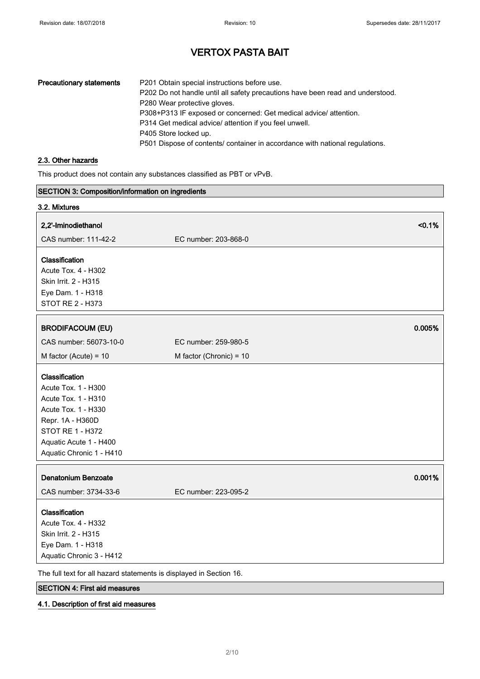| <b>Precautionary statements</b> | P201 Obtain special instructions before use.                                   |
|---------------------------------|--------------------------------------------------------------------------------|
|                                 | P202 Do not handle until all safety precautions have been read and understood. |
|                                 | P280 Wear protective gloves.                                                   |
|                                 | P308+P313 IF exposed or concerned: Get medical advice/ attention.              |
|                                 | P314 Get medical advice/ attention if you feel unwell.                         |
|                                 | P405 Store locked up.                                                          |
|                                 | P501 Dispose of contents/ container in accordance with national regulations.   |

## 2.3. Other hazards

This product does not contain any substances classified as PBT or vPvB.

| SECTION 3: Composition/information on ingredients                   |                           |        |
|---------------------------------------------------------------------|---------------------------|--------|
| 3.2. Mixtures                                                       |                           |        |
| 2,2'-Iminodiethanol                                                 |                           | < 0.1% |
| CAS number: 111-42-2                                                | EC number: 203-868-0      |        |
| Classification                                                      |                           |        |
| Acute Tox. 4 - H302                                                 |                           |        |
| Skin Irrit. 2 - H315                                                |                           |        |
| Eye Dam. 1 - H318                                                   |                           |        |
| <b>STOT RE 2 - H373</b>                                             |                           |        |
| <b>BRODIFACOUM (EU)</b>                                             |                           | 0.005% |
|                                                                     |                           |        |
| CAS number: 56073-10-0                                              | EC number: 259-980-5      |        |
| M factor (Acute) = $10$                                             | M factor (Chronic) = $10$ |        |
| Classification                                                      |                           |        |
| Acute Tox. 1 - H300                                                 |                           |        |
| Acute Tox. 1 - H310                                                 |                           |        |
| Acute Tox. 1 - H330                                                 |                           |        |
| Repr. 1A - H360D                                                    |                           |        |
| STOT RE 1 - H372                                                    |                           |        |
| Aquatic Acute 1 - H400                                              |                           |        |
| Aquatic Chronic 1 - H410                                            |                           |        |
| <b>Denatonium Benzoate</b>                                          |                           | 0.001% |
| CAS number: 3734-33-6                                               | EC number: 223-095-2      |        |
| Classification                                                      |                           |        |
| Acute Tox. 4 - H332                                                 |                           |        |
| Skin Irrit. 2 - H315                                                |                           |        |
| Eye Dam. 1 - H318                                                   |                           |        |
| Aquatic Chronic 3 - H412                                            |                           |        |
| The full text for all hazard statements is displayed in Section 16. |                           |        |

SECTION 4: First aid measures

#### 4.1. Description of first aid measures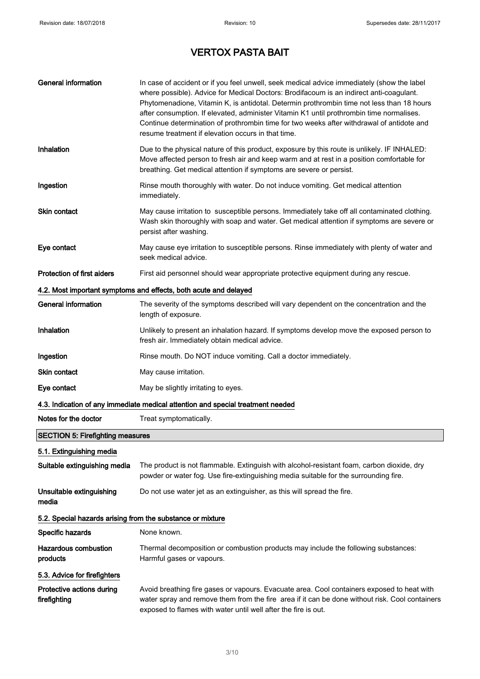| <b>General information</b>                                 | In case of accident or if you feel unwell, seek medical advice immediately (show the label<br>where possible). Advice for Medical Doctors: Brodifacoum is an indirect anti-coagulant.<br>Phytomenadione, Vitamin K, is antidotal. Determin prothrombin time not less than 18 hours<br>after consumption. If elevated, administer Vitamin K1 until prothrombin time normalises.<br>Continue determination of prothrombin time for two weeks after withdrawal of antidote and<br>resume treatment if elevation occurs in that time. |  |
|------------------------------------------------------------|-----------------------------------------------------------------------------------------------------------------------------------------------------------------------------------------------------------------------------------------------------------------------------------------------------------------------------------------------------------------------------------------------------------------------------------------------------------------------------------------------------------------------------------|--|
| <b>Inhalation</b>                                          | Due to the physical nature of this product, exposure by this route is unlikely. IF INHALED:<br>Move affected person to fresh air and keep warm and at rest in a position comfortable for<br>breathing. Get medical attention if symptoms are severe or persist.                                                                                                                                                                                                                                                                   |  |
| Ingestion                                                  | Rinse mouth thoroughly with water. Do not induce vomiting. Get medical attention<br>immediately.                                                                                                                                                                                                                                                                                                                                                                                                                                  |  |
| <b>Skin contact</b>                                        | May cause irritation to susceptible persons. Immediately take off all contaminated clothing.<br>Wash skin thoroughly with soap and water. Get medical attention if symptoms are severe or<br>persist after washing.                                                                                                                                                                                                                                                                                                               |  |
| Eye contact                                                | May cause eye irritation to susceptible persons. Rinse immediately with plenty of water and<br>seek medical advice.                                                                                                                                                                                                                                                                                                                                                                                                               |  |
| <b>Protection of first aiders</b>                          | First aid personnel should wear appropriate protective equipment during any rescue.                                                                                                                                                                                                                                                                                                                                                                                                                                               |  |
|                                                            | 4.2. Most important symptoms and effects, both acute and delayed                                                                                                                                                                                                                                                                                                                                                                                                                                                                  |  |
| General information                                        | The severity of the symptoms described will vary dependent on the concentration and the<br>length of exposure.                                                                                                                                                                                                                                                                                                                                                                                                                    |  |
| Inhalation                                                 | Unlikely to present an inhalation hazard. If symptoms develop move the exposed person to<br>fresh air. Immediately obtain medical advice.                                                                                                                                                                                                                                                                                                                                                                                         |  |
| Ingestion                                                  | Rinse mouth. Do NOT induce vomiting. Call a doctor immediately.                                                                                                                                                                                                                                                                                                                                                                                                                                                                   |  |
| Skin contact                                               | May cause irritation.                                                                                                                                                                                                                                                                                                                                                                                                                                                                                                             |  |
| Eye contact                                                | May be slightly irritating to eyes.                                                                                                                                                                                                                                                                                                                                                                                                                                                                                               |  |
|                                                            | 4.3. Indication of any immediate medical attention and special treatment needed                                                                                                                                                                                                                                                                                                                                                                                                                                                   |  |
| Notes for the doctor                                       | Treat symptomatically.                                                                                                                                                                                                                                                                                                                                                                                                                                                                                                            |  |
| <b>SECTION 5: Firefighting measures</b>                    |                                                                                                                                                                                                                                                                                                                                                                                                                                                                                                                                   |  |
| 5.1. Extinguishing media                                   |                                                                                                                                                                                                                                                                                                                                                                                                                                                                                                                                   |  |
| Suitable extinguishing media                               | The product is not flammable. Extinguish with alcohol-resistant foam, carbon dioxide, dry<br>powder or water fog. Use fire-extinguishing media suitable for the surrounding fire.                                                                                                                                                                                                                                                                                                                                                 |  |
| Unsuitable extinguishing<br>media                          | Do not use water jet as an extinguisher, as this will spread the fire.                                                                                                                                                                                                                                                                                                                                                                                                                                                            |  |
| 5.2. Special hazards arising from the substance or mixture |                                                                                                                                                                                                                                                                                                                                                                                                                                                                                                                                   |  |
| Specific hazards                                           | None known.                                                                                                                                                                                                                                                                                                                                                                                                                                                                                                                       |  |
| <b>Hazardous combustion</b><br>products                    | Thermal decomposition or combustion products may include the following substances:<br>Harmful gases or vapours.                                                                                                                                                                                                                                                                                                                                                                                                                   |  |
| 5.3. Advice for firefighters                               |                                                                                                                                                                                                                                                                                                                                                                                                                                                                                                                                   |  |
| Protective actions during<br>firefighting                  | Avoid breathing fire gases or vapours. Evacuate area. Cool containers exposed to heat with<br>water spray and remove them from the fire area if it can be done without risk. Cool containers<br>exposed to flames with water until well after the fire is out.                                                                                                                                                                                                                                                                    |  |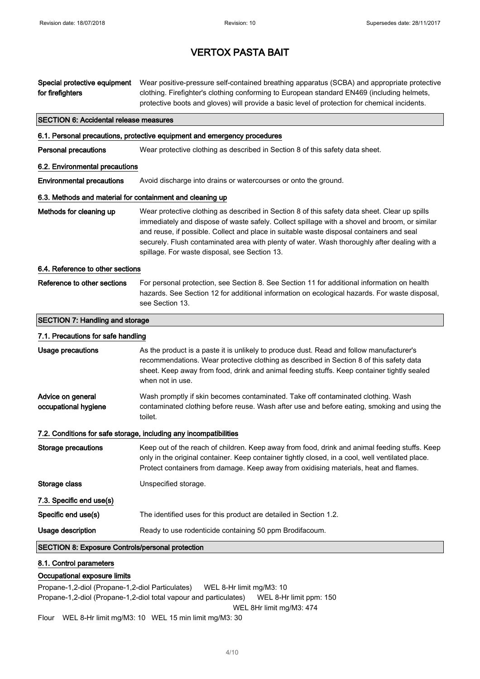| Special protective equipment<br>for firefighters          | Wear positive-pressure self-contained breathing apparatus (SCBA) and appropriate protective<br>clothing. Firefighter's clothing conforming to European standard EN469 (including helmets,<br>protective boots and gloves) will provide a basic level of protection for chemical incidents.                                                                                                                                                  |  |  |
|-----------------------------------------------------------|---------------------------------------------------------------------------------------------------------------------------------------------------------------------------------------------------------------------------------------------------------------------------------------------------------------------------------------------------------------------------------------------------------------------------------------------|--|--|
| <b>SECTION 6: Accidental release measures</b>             |                                                                                                                                                                                                                                                                                                                                                                                                                                             |  |  |
|                                                           | 6.1. Personal precautions, protective equipment and emergency procedures                                                                                                                                                                                                                                                                                                                                                                    |  |  |
| <b>Personal precautions</b>                               | Wear protective clothing as described in Section 8 of this safety data sheet.                                                                                                                                                                                                                                                                                                                                                               |  |  |
| 6.2. Environmental precautions                            |                                                                                                                                                                                                                                                                                                                                                                                                                                             |  |  |
| <b>Environmental precautions</b>                          | Avoid discharge into drains or watercourses or onto the ground.                                                                                                                                                                                                                                                                                                                                                                             |  |  |
| 6.3. Methods and material for containment and cleaning up |                                                                                                                                                                                                                                                                                                                                                                                                                                             |  |  |
| Methods for cleaning up                                   | Wear protective clothing as described in Section 8 of this safety data sheet. Clear up spills<br>immediately and dispose of waste safely. Collect spillage with a shovel and broom, or similar<br>and reuse, if possible. Collect and place in suitable waste disposal containers and seal<br>securely. Flush contaminated area with plenty of water. Wash thoroughly after dealing with a<br>spillage. For waste disposal, see Section 13. |  |  |
| 6.4. Reference to other sections                          |                                                                                                                                                                                                                                                                                                                                                                                                                                             |  |  |
| Reference to other sections                               | For personal protection, see Section 8. See Section 11 for additional information on health<br>hazards. See Section 12 for additional information on ecological hazards. For waste disposal,<br>see Section 13.                                                                                                                                                                                                                             |  |  |
| <b>SECTION 7: Handling and storage</b>                    |                                                                                                                                                                                                                                                                                                                                                                                                                                             |  |  |
| 7.1. Precautions for safe handling                        |                                                                                                                                                                                                                                                                                                                                                                                                                                             |  |  |
| Usage precautions                                         | As the product is a paste it is unlikely to produce dust. Read and follow manufacturer's<br>recommendations. Wear protective clothing as described in Section 8 of this safety data<br>sheet. Keep away from food, drink and animal feeding stuffs. Keep container tightly sealed<br>when not in use.                                                                                                                                       |  |  |
| Advice on general<br>occupational hygiene                 | Wash promptly if skin becomes contaminated. Take off contaminated clothing. Wash<br>contaminated clothing before reuse. Wash after use and before eating, smoking and using the<br>toilet.                                                                                                                                                                                                                                                  |  |  |
|                                                           | 7.2. Conditions for safe storage, including any incompatibilities                                                                                                                                                                                                                                                                                                                                                                           |  |  |
| Storage precautions                                       | Keep out of the reach of children. Keep away from food, drink and animal feeding stuffs. Keep<br>only in the original container. Keep container tightly closed, in a cool, well ventilated place.<br>Protect containers from damage. Keep away from oxidising materials, heat and flames.                                                                                                                                                   |  |  |
| Storage class                                             | Unspecified storage.                                                                                                                                                                                                                                                                                                                                                                                                                        |  |  |
| 7.3. Specific end use(s)                                  |                                                                                                                                                                                                                                                                                                                                                                                                                                             |  |  |
| Specific end use(s)                                       | The identified uses for this product are detailed in Section 1.2.                                                                                                                                                                                                                                                                                                                                                                           |  |  |
| Usage description                                         | Ready to use rodenticide containing 50 ppm Brodifacoum.                                                                                                                                                                                                                                                                                                                                                                                     |  |  |
| <b>SECTION 8: Exposure Controls/personal protection</b>   |                                                                                                                                                                                                                                                                                                                                                                                                                                             |  |  |
| 8.1. Control parameters<br>Occupational exposure limits   |                                                                                                                                                                                                                                                                                                                                                                                                                                             |  |  |

Propane-1,2-diol (Propane-1,2-diol Particulates) WEL 8-Hr limit mg/M3: 10 Propane-1,2-diol (Propane-1,2-diol total vapour and particulates) WEL 8-Hr limit ppm: 150 WEL 8Hr limit mg/M3: 474

Flour WEL 8-Hr limit mg/M3: 10 WEL 15 min limit mg/M3: 30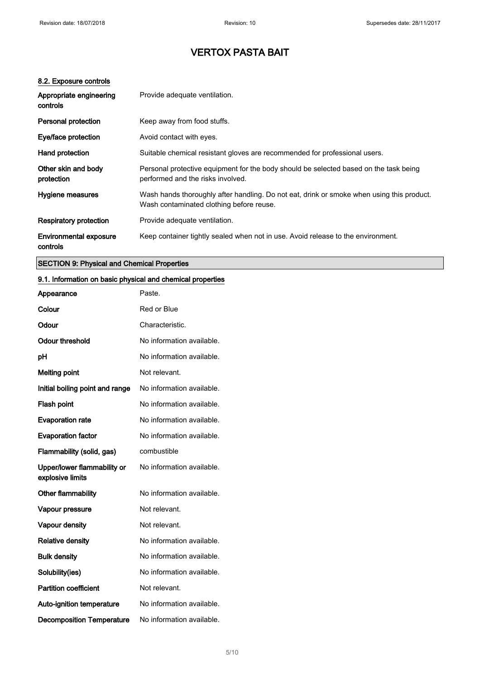#### 8.2. Exposure controls

| Appropriate engineering<br>controls       | Provide adequate ventilation.                                                                                                         |  |
|-------------------------------------------|---------------------------------------------------------------------------------------------------------------------------------------|--|
| <b>Personal protection</b>                | Keep away from food stuffs.                                                                                                           |  |
| Eye/face protection                       | Avoid contact with eyes.                                                                                                              |  |
| Hand protection                           | Suitable chemical resistant gloves are recommended for professional users.                                                            |  |
| Other skin and body<br>protection         | Personal protective equipment for the body should be selected based on the task being<br>performed and the risks involved.            |  |
| Hygiene measures                          | Wash hands thoroughly after handling. Do not eat, drink or smoke when using this product.<br>Wash contaminated clothing before reuse. |  |
| <b>Respiratory protection</b>             | Provide adequate ventilation.                                                                                                         |  |
| <b>Environmental exposure</b><br>controls | Keep container tightly sealed when not in use. Avoid release to the environment.                                                      |  |

### SECTION 9: Physical and Chemical Properties

#### 9.1. Information on basic physical and chemical properties

| Appearance                                      | Paste.                    |
|-------------------------------------------------|---------------------------|
| Colour                                          | Red or Blue               |
| Odour                                           | Characteristic.           |
| Odour threshold                                 | No information available. |
| рH                                              | No information available. |
| <b>Melting point</b>                            | Not relevant.             |
| Initial boiling point and range                 | No information available. |
| Flash point                                     | No information available. |
| <b>Evaporation rate</b>                         | No information available. |
| <b>Evaporation factor</b>                       | No information available. |
| Flammability (solid, gas)                       | combustible               |
| Upper/lower flammability or<br>explosive limits | No information available. |
| Other flammability                              | No information available. |
| Vapour pressure                                 | Not relevant.             |
| <b>Vapour density</b>                           | Not relevant.             |
| <b>Relative density</b>                         | No information available. |
| <b>Bulk density</b>                             | No information available. |
| Solubility(ies)                                 | No information available. |
| <b>Partition coefficient</b>                    | Not relevant.             |
| Auto-ignition temperature                       | No information available. |
| <b>Decomposition Temperature</b>                | No information available. |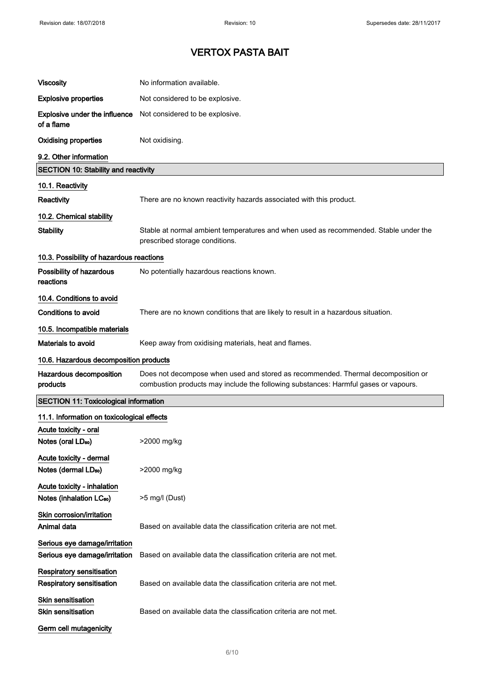| <b>Viscosity</b>                                                    | No information available.                                                                                                                                               |  |  |
|---------------------------------------------------------------------|-------------------------------------------------------------------------------------------------------------------------------------------------------------------------|--|--|
| <b>Explosive properties</b>                                         | Not considered to be explosive.                                                                                                                                         |  |  |
| <b>Explosive under the influence</b><br>of a flame                  | Not considered to be explosive.                                                                                                                                         |  |  |
| <b>Oxidising properties</b>                                         | Not oxidising.                                                                                                                                                          |  |  |
| 9.2. Other information                                              |                                                                                                                                                                         |  |  |
| <b>SECTION 10: Stability and reactivity</b>                         |                                                                                                                                                                         |  |  |
| 10.1. Reactivity                                                    |                                                                                                                                                                         |  |  |
| Reactivity                                                          | There are no known reactivity hazards associated with this product.                                                                                                     |  |  |
| 10.2. Chemical stability                                            |                                                                                                                                                                         |  |  |
| <b>Stability</b>                                                    | Stable at normal ambient temperatures and when used as recommended. Stable under the<br>prescribed storage conditions.                                                  |  |  |
| 10.3. Possibility of hazardous reactions                            |                                                                                                                                                                         |  |  |
| Possibility of hazardous<br>reactions                               | No potentially hazardous reactions known.                                                                                                                               |  |  |
| 10.4. Conditions to avoid                                           |                                                                                                                                                                         |  |  |
| <b>Conditions to avoid</b>                                          | There are no known conditions that are likely to result in a hazardous situation.                                                                                       |  |  |
| 10.5. Incompatible materials                                        |                                                                                                                                                                         |  |  |
| Materials to avoid                                                  | Keep away from oxidising materials, heat and flames.                                                                                                                    |  |  |
| 10.6. Hazardous decomposition products                              |                                                                                                                                                                         |  |  |
| Hazardous decomposition<br>products                                 | Does not decompose when used and stored as recommended. Thermal decomposition or<br>combustion products may include the following substances: Harmful gases or vapours. |  |  |
| <b>SECTION 11: Toxicological information</b>                        |                                                                                                                                                                         |  |  |
| 11.1. Information on toxicological effects                          |                                                                                                                                                                         |  |  |
|                                                                     |                                                                                                                                                                         |  |  |
| Acute toxicity - oral<br>Notes (oral LD <sub>50</sub> )             | >2000 mg/kg                                                                                                                                                             |  |  |
| Acute toxicity - dermal<br>Notes (dermal LD <sub>50</sub> )         | >2000 mg/kg                                                                                                                                                             |  |  |
| Acute toxicity - inhalation<br>Notes (inhalation LC <sub>50</sub> ) | >5 mg/l (Dust)                                                                                                                                                          |  |  |
| Skin corrosion/irritation<br>Animal data                            | Based on available data the classification criteria are not met.                                                                                                        |  |  |
| Serious eye damage/irritation<br>Serious eye damage/irritation      | Based on available data the classification criteria are not met.                                                                                                        |  |  |
| <b>Respiratory sensitisation</b><br>Respiratory sensitisation       | Based on available data the classification criteria are not met.                                                                                                        |  |  |
| <b>Skin sensitisation</b><br><b>Skin sensitisation</b>              | Based on available data the classification criteria are not met.                                                                                                        |  |  |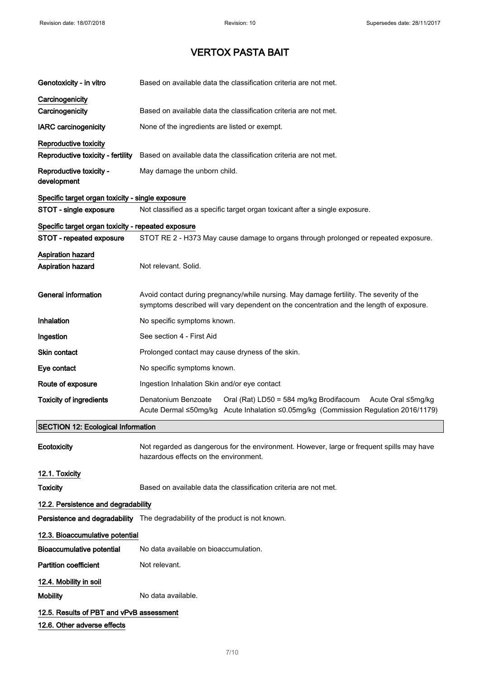| Genotoxicity - in vitro                                                 | Based on available data the classification criteria are not met.                                                                                                                   |  |  |
|-------------------------------------------------------------------------|------------------------------------------------------------------------------------------------------------------------------------------------------------------------------------|--|--|
| Carcinogenicity                                                         |                                                                                                                                                                                    |  |  |
| Carcinogenicity                                                         | Based on available data the classification criteria are not met.                                                                                                                   |  |  |
| <b>IARC</b> carcinogenicity                                             | None of the ingredients are listed or exempt.                                                                                                                                      |  |  |
| Reproductive toxicity                                                   |                                                                                                                                                                                    |  |  |
| Reproductive toxicity - fertility                                       | Based on available data the classification criteria are not met.                                                                                                                   |  |  |
| Reproductive toxicity -<br>development                                  | May damage the unborn child.                                                                                                                                                       |  |  |
| Specific target organ toxicity - single exposure                        |                                                                                                                                                                                    |  |  |
| STOT - single exposure                                                  | Not classified as a specific target organ toxicant after a single exposure.                                                                                                        |  |  |
| Specific target organ toxicity - repeated exposure                      |                                                                                                                                                                                    |  |  |
| STOT - repeated exposure                                                | STOT RE 2 - H373 May cause damage to organs through prolonged or repeated exposure.                                                                                                |  |  |
| <b>Aspiration hazard</b>                                                |                                                                                                                                                                                    |  |  |
| <b>Aspiration hazard</b>                                                | Not relevant. Solid.                                                                                                                                                               |  |  |
| <b>General information</b>                                              | Avoid contact during pregnancy/while nursing. May damage fertility. The severity of the<br>symptoms described will vary dependent on the concentration and the length of exposure. |  |  |
| Inhalation                                                              | No specific symptoms known.                                                                                                                                                        |  |  |
| Ingestion                                                               | See section 4 - First Aid                                                                                                                                                          |  |  |
| Skin contact                                                            | Prolonged contact may cause dryness of the skin.                                                                                                                                   |  |  |
| Eye contact                                                             | No specific symptoms known.                                                                                                                                                        |  |  |
| Route of exposure                                                       | Ingestion Inhalation Skin and/or eye contact                                                                                                                                       |  |  |
| <b>Toxicity of ingredients</b>                                          | Denatonium Benzoate<br>Oral (Rat) LD50 = 584 mg/kg Brodifacoum<br>Acute Oral ≤5mg/kg<br>Acute Dermal ≤50mg/kg Acute Inhalation ≤0.05mg/kg (Commission Regulation 2016/1179)        |  |  |
| <b>SECTION 12: Ecological Information</b>                               |                                                                                                                                                                                    |  |  |
| Ecotoxicity                                                             | Not regarded as dangerous for the environment. However, large or frequent spills may have<br>hazardous effects on the environment.                                                 |  |  |
| 12.1. Toxicity                                                          |                                                                                                                                                                                    |  |  |
| <b>Toxicity</b>                                                         | Based on available data the classification criteria are not met.                                                                                                                   |  |  |
| 12.2. Persistence and degradability                                     |                                                                                                                                                                                    |  |  |
|                                                                         | Persistence and degradability The degradability of the product is not known.                                                                                                       |  |  |
| 12.3. Bioaccumulative potential                                         |                                                                                                                                                                                    |  |  |
| <b>Bioaccumulative potential</b>                                        | No data available on bioaccumulation.                                                                                                                                              |  |  |
| <b>Partition coefficient</b>                                            | Not relevant.                                                                                                                                                                      |  |  |
| 12.4. Mobility in soil                                                  |                                                                                                                                                                                    |  |  |
| <b>Mobility</b>                                                         | No data available.                                                                                                                                                                 |  |  |
| 12.5. Results of PBT and vPvB assessment<br>12.6. Other adverse effects |                                                                                                                                                                                    |  |  |
|                                                                         |                                                                                                                                                                                    |  |  |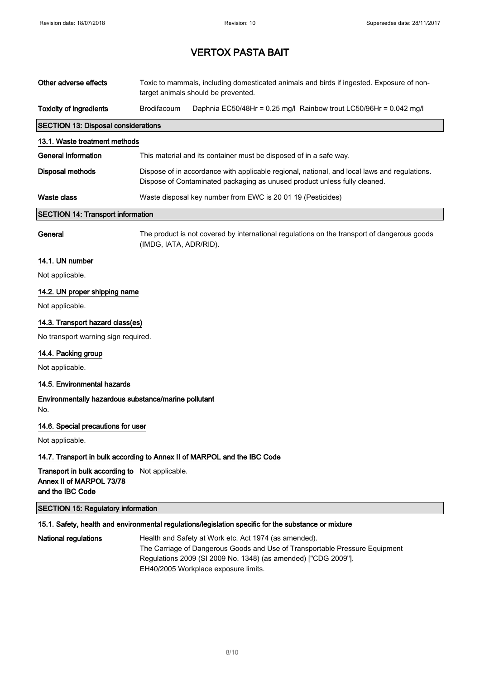| Other adverse effects                                                                          | Toxic to mammals, including domesticated animals and birds if ingested. Exposure of non-<br>target animals should be prevented.                                           |                                                                                                                                                                                                        |
|------------------------------------------------------------------------------------------------|---------------------------------------------------------------------------------------------------------------------------------------------------------------------------|--------------------------------------------------------------------------------------------------------------------------------------------------------------------------------------------------------|
| <b>Toxicity of ingredients</b>                                                                 | Brodifacoum                                                                                                                                                               | Daphnia EC50/48Hr = 0.25 mg/l Rainbow trout LC50/96Hr = 0.042 mg/l                                                                                                                                     |
| <b>SECTION 13: Disposal considerations</b>                                                     |                                                                                                                                                                           |                                                                                                                                                                                                        |
| 13.1. Waste treatment methods                                                                  |                                                                                                                                                                           |                                                                                                                                                                                                        |
| <b>General information</b>                                                                     | This material and its container must be disposed of in a safe way.                                                                                                        |                                                                                                                                                                                                        |
| <b>Disposal methods</b>                                                                        | Dispose of in accordance with applicable regional, national, and local laws and regulations.<br>Dispose of Contaminated packaging as unused product unless fully cleaned. |                                                                                                                                                                                                        |
| <b>Waste class</b>                                                                             | Waste disposal key number from EWC is 20 01 19 (Pesticides)                                                                                                               |                                                                                                                                                                                                        |
| <b>SECTION 14: Transport information</b>                                                       |                                                                                                                                                                           |                                                                                                                                                                                                        |
| General                                                                                        | (IMDG, IATA, ADR/RID).                                                                                                                                                    | The product is not covered by international regulations on the transport of dangerous goods                                                                                                            |
| 14.1. UN number                                                                                |                                                                                                                                                                           |                                                                                                                                                                                                        |
| Not applicable.                                                                                |                                                                                                                                                                           |                                                                                                                                                                                                        |
| 14.2. UN proper shipping name                                                                  |                                                                                                                                                                           |                                                                                                                                                                                                        |
| Not applicable.                                                                                |                                                                                                                                                                           |                                                                                                                                                                                                        |
| 14.3. Transport hazard class(es)                                                               |                                                                                                                                                                           |                                                                                                                                                                                                        |
| No transport warning sign required.                                                            |                                                                                                                                                                           |                                                                                                                                                                                                        |
| 14.4. Packing group                                                                            |                                                                                                                                                                           |                                                                                                                                                                                                        |
| Not applicable.                                                                                |                                                                                                                                                                           |                                                                                                                                                                                                        |
| 14.5. Environmental hazards                                                                    |                                                                                                                                                                           |                                                                                                                                                                                                        |
| Environmentally hazardous substance/marine pollutant<br>No.                                    |                                                                                                                                                                           |                                                                                                                                                                                                        |
| 14.6. Special precautions for user                                                             |                                                                                                                                                                           |                                                                                                                                                                                                        |
| Not applicable.                                                                                |                                                                                                                                                                           |                                                                                                                                                                                                        |
| 14.7. Transport in bulk according to Annex II of MARPOL and the IBC Code                       |                                                                                                                                                                           |                                                                                                                                                                                                        |
| Transport in bulk according to Not applicable.<br>Annex II of MARPOL 73/78<br>and the IBC Code |                                                                                                                                                                           |                                                                                                                                                                                                        |
| <b>SECTION 15: Regulatory information</b>                                                      |                                                                                                                                                                           |                                                                                                                                                                                                        |
|                                                                                                |                                                                                                                                                                           | 15.1. Safety, health and environmental regulations/legislation specific for the substance or mixture                                                                                                   |
| <b>National regulations</b>                                                                    |                                                                                                                                                                           | Health and Safety at Work etc. Act 1974 (as amended).<br>The Carriage of Dangerous Goods and Use of Transportable Pressure Equipment<br>Regulations 2009 (SI 2009 No. 1348) (as amended) ["CDG 2009"]. |

EH40/2005 Workplace exposure limits.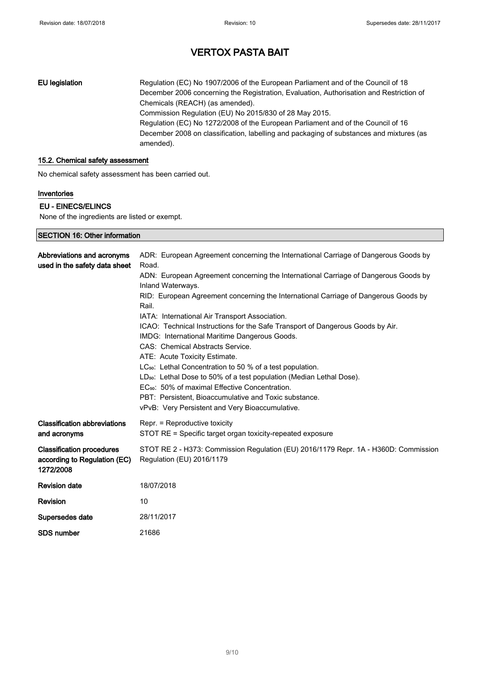EU legislation Regulation (EC) No 1907/2006 of the European Parliament and of the Council of 18 December 2006 concerning the Registration, Evaluation, Authorisation and Restriction of Chemicals (REACH) (as amended). Commission Regulation (EU) No 2015/830 of 28 May 2015. Regulation (EC) No 1272/2008 of the European Parliament and of the Council of 16 December 2008 on classification, labelling and packaging of substances and mixtures (as amended).

#### 15.2. Chemical safety assessment

No chemical safety assessment has been carried out.

#### Inventories

#### EU - EINECS/ELINCS

SECTION 16: Other information

None of the ingredients are listed or exempt.

| Abbreviations and acronyms<br>used in the safety data sheet                   | ADR: European Agreement concerning the International Carriage of Dangerous Goods by<br>Road.                        |
|-------------------------------------------------------------------------------|---------------------------------------------------------------------------------------------------------------------|
|                                                                               | ADN: European Agreement concerning the International Carriage of Dangerous Goods by<br>Inland Waterways.            |
|                                                                               | RID: European Agreement concerning the International Carriage of Dangerous Goods by<br>Rail.                        |
|                                                                               | IATA: International Air Transport Association.                                                                      |
|                                                                               | ICAO: Technical Instructions for the Safe Transport of Dangerous Goods by Air.                                      |
|                                                                               | IMDG: International Maritime Dangerous Goods.                                                                       |
|                                                                               | CAS: Chemical Abstracts Service.                                                                                    |
|                                                                               | ATE: Acute Toxicity Estimate.                                                                                       |
|                                                                               | LC <sub>50</sub> : Lethal Concentration to 50 % of a test population.                                               |
|                                                                               | LD <sub>50</sub> : Lethal Dose to 50% of a test population (Median Lethal Dose).                                    |
|                                                                               | EC <sub>50</sub> : 50% of maximal Effective Concentration.<br>PBT: Persistent, Bioaccumulative and Toxic substance. |
|                                                                               | vPvB: Very Persistent and Very Bioaccumulative.                                                                     |
| <b>Classification abbreviations</b>                                           | Repr. = Reproductive toxicity                                                                                       |
| and acronyms                                                                  | STOT RE = Specific target organ toxicity-repeated exposure                                                          |
| <b>Classification procedures</b><br>according to Regulation (EC)<br>1272/2008 | STOT RE 2 - H373: Commission Regulation (EU) 2016/1179 Repr. 1A - H360D: Commission<br>Regulation (EU) 2016/1179    |
| <b>Revision date</b>                                                          | 18/07/2018                                                                                                          |
| <b>Revision</b>                                                               | 10                                                                                                                  |
| Supersedes date                                                               | 28/11/2017                                                                                                          |
| <b>SDS number</b>                                                             | 21686                                                                                                               |